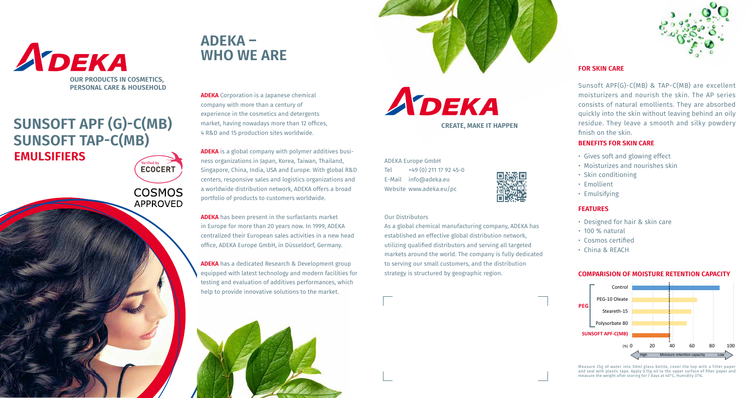АЪЕКА **CREATE, MAKE IT HAPPEN**

ADEKA Europe GmbH Tel  $+49(0)$  211 17 92 45-0 E-Mail info@adeka.eu Website www.adeka.eu/pc

#### Our Distributors

As a global chemical manufacturing company, ADEKA has established an effective global distribution network, utilizing qualified distributors and serving all targeted markets around the world. The company is fully dedicated to serving our small customers, and the distribution strategy is structured by geographic region.





## **EMULSIFIERS SUNSOFT APF (G)-C(MB) SUNSOFT TAP-C(MB)**

**COSMOS APPROVED** 

**ECOCERT** 

# **ADEKA – WHO WE ARE**

**ADEKA** Corporation is a Japanese chemical company with more than a century of experience in the cosmetics and detergents market, having nowadays more than 12 offices, 4 R&D and 15 production sites worldwide.

**ADEKA** is a global company with polymer additives business organizations in Japan, Korea, Taiwan, Thailand, Singapore, China, India, USA and Europe. With global R&D centers, responsive sales and logistics organizations and a worldwide distribution network, ADEKA offers a broad portfolio of products to customers worldwide.

**ADEKA** has been present in the surfactants market in Europe for more than 20 years now. In 1999, ADEKA centralized their European sales activities in a new head office, ADEKA Europe GmbH, in Düsseldorf, Germany.

**ADEKA** has a dedicated Research & Development group equipped with latest technology and modern facilities for testing and evaluation of additives performances, which help to provide innovative solutions to the market.



### **FOR SKIN CARE**

Sunsoft APF(G)-C(MB) & TAP-C(MB) are excellent moisturizers and nourish the skin. The AP series consists of natural emollients. They are absorbed quickly into the skin without leaving behind an oily residue. They leave a smooth and silky powdery finish on the skin.

### **COMPARISION OF MOISTURE RETENTION CAPACITY Comparison of Moisture retention capacity**







#### **BENEFITS FOR SKIN CARE**

- Gives soft and glowing effect
- Moisturizes and nourishes skin
- Skin conditioning
- Emulsifying

Measure 25g of water into 50ml glass bottle, cover the top with a filter paper<br>and seal with plastic tape. Apply 0.15g oil to the upper surface of filter paper and<br>measure the weight after storing for 7 days at 40°C, Humid

- 
- 
- 
- Emollient

## **FEATURES**

- 
- Designed for hair & skin care • 100 % natural • China & REACH
- **SUNSOFT: Properties of APF-C(MB)**  Cosmos certified
	-